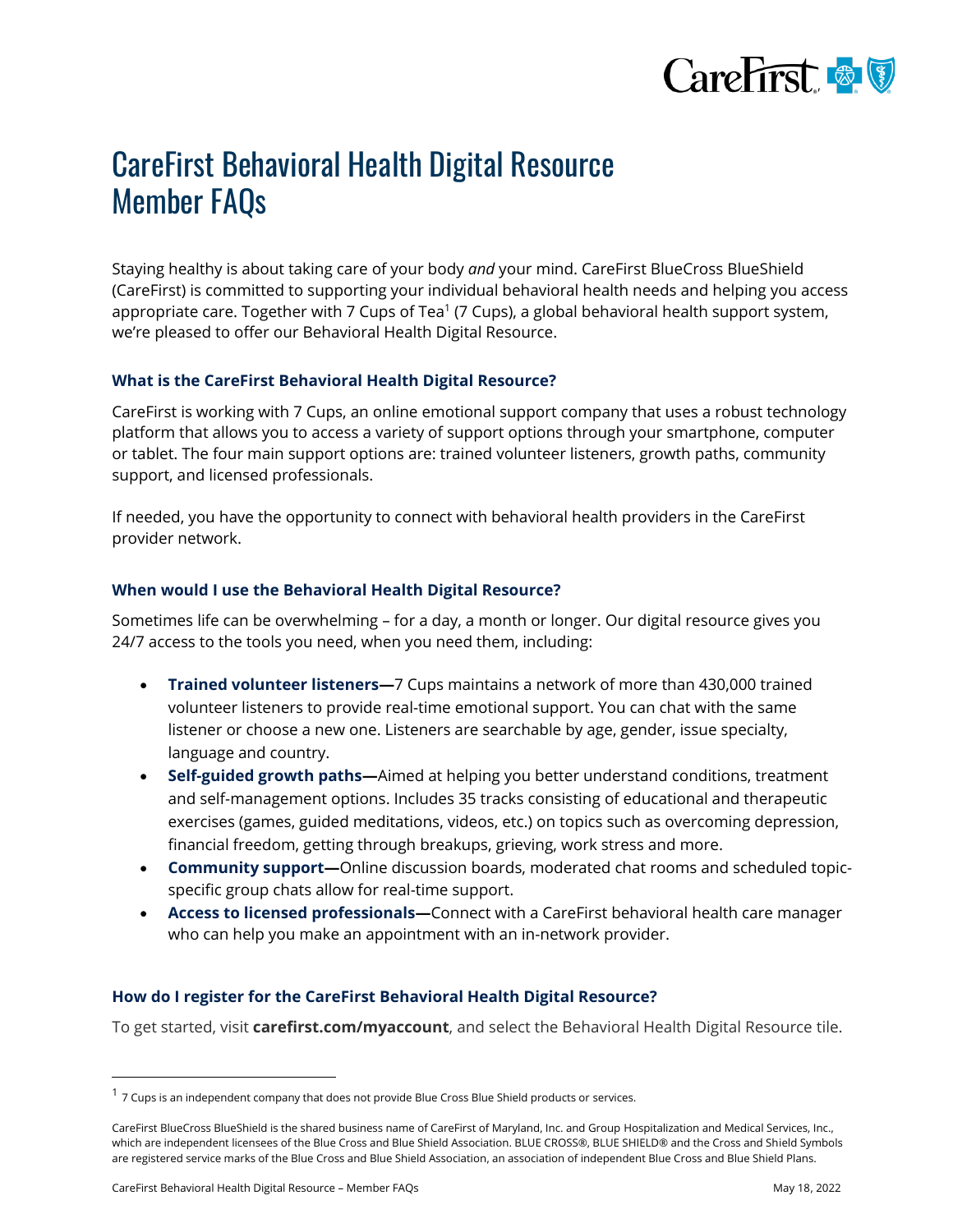

# CareFirst Behavioral Health Digital Resource Member FAQs

Staying healthy is about taking care of your body *and* your mind. CareFirst BlueCross BlueShield (CareFirst) is committed to supporting your individual behavioral health needs and helping you access appropriate care. Together with 7 Cups of Tea<sup>1</sup> (7 Cups), a global behavioral health support system, we're pleased to offer our Behavioral Health Digital Resource.

## **What is the CareFirst Behavioral Health Digital Resource?**

CareFirst is working with 7 Cups, an online emotional support company that uses a robust technology platform that allows you to access a variety of support options through your smartphone, computer or tablet. The four main support options are: trained volunteer listeners, growth paths, community support, and licensed professionals.

If needed, you have the opportunity to connect with behavioral health providers in the CareFirst provider network.

# **When would I use the Behavioral Health Digital Resource?**

Sometimes life can be overwhelming – for a day, a month or longer. Our digital resource gives you 24/7 access to the tools you need, when you need them, including:

- **Trained volunteer listeners—**7 Cups maintains a network of more than 430,000 trained volunteer listeners to provide real-time emotional support. You can chat with the same listener or choose a new one. Listeners are searchable by age, gender, issue specialty, language and country.
- **Self-guided growth paths—**Aimed at helping you better understand conditions, treatment and self-management options. Includes 35 tracks consisting of educational and therapeutic exercises (games, guided meditations, videos, etc.) on topics such as overcoming depression, financial freedom, getting through breakups, grieving, work stress and more.
- **Community support—**Online discussion boards, moderated chat rooms and scheduled topicspecific group chats allow for real-time support.
- **Access to licensed professionals—**Connect with a CareFirst behavioral health care manager who can help you make an appointment with an in-network provider.

# **How do I register for the CareFirst Behavioral Health Digital Resource?**

To get started, visit **[carefirst.com/myaccount](https://carefirst.com/myaccount)**, and select the Behavioral Health Digital Resource tile.

 $^1$  7 Cups is an independent company that does not provide Blue Cross Blue Shield products or services.

 CareFirst BlueCross BlueShield is the shared business name of CareFirst of Maryland, Inc. and Group Hospitalization and Medical Services, Inc., which are independent licensees of the Blue Cross and Blue Shield Association. BLUE CROSS®, BLUE SHIELD® and the Cross and Shield Symbols are registered service marks of the Blue Cross and Blue Shield Association, an association of independent Blue Cross and Blue Shield Plans.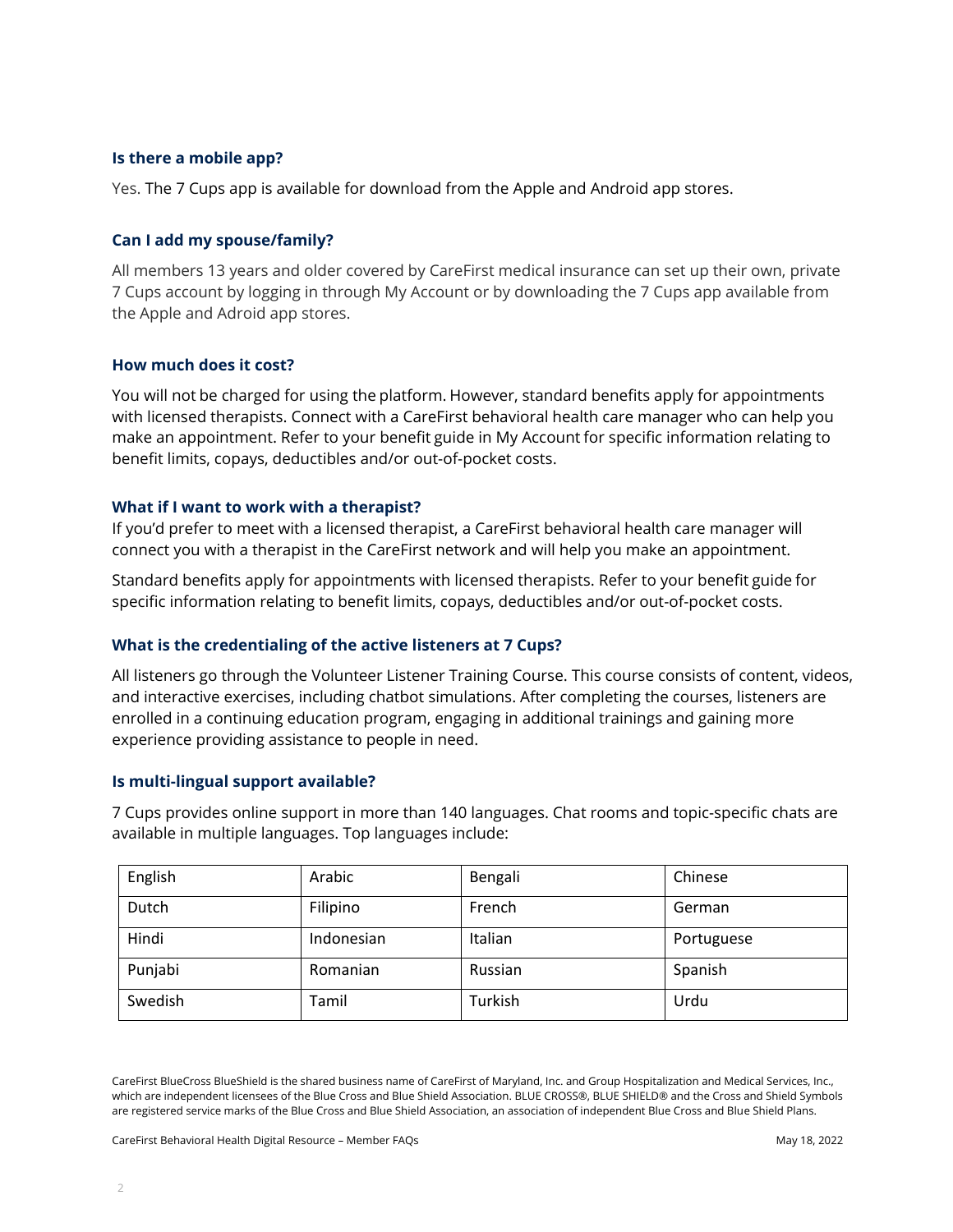## **Is there a mobile app?**

Yes. The 7 Cups app is available for download from the Apple and Android app stores.

## **Can I add my spouse/family?**

All members 13 years and older covered by CareFirst medical insurance can set up their own, private 7 Cups account by logging in through My Account or by downloading the 7 Cups app available from the Apple and Adroid app stores.

## **How much does it cost?**

You will not be charged for using the platform. However, standard benefits apply for appointments with licensed therapists. Connect with a CareFirst behavioral health care manager who can help you make an appointment. Refer to your benefit guide in My Account for specific information relating to benefit limits, copays, deductibles and/or out-of-pocket costs.

#### **What if I want to work with a therapist?**

If you'd prefer to meet with a licensed therapist, a CareFirst behavioral health care manager will connect you with a therapist in the CareFirst network and will help you make an appointment.

Standard benefits apply for appointments with licensed therapists. Refer to your benefit guide for specific information relating to benefit limits, copays, deductibles and/or out-of-pocket costs.

## **What is the credentialing of the active listeners at 7 Cups?**

All listeners go through the Volunteer Listener Training Course. This course consists of content, videos, and interactive exercises, including chatbot simulations. After completing the courses, listeners are enrolled in a continuing education program, engaging in additional trainings and gaining more experience providing assistance to people in need.

#### **Is multi-lingual support available?**

7 Cups provides online support in more than 140 languages. Chat rooms and topic-specific chats are available in multiple languages. Top languages include:

| English | Arabic     | Bengali | Chinese    |
|---------|------------|---------|------------|
| Dutch   | Filipino   | French  | German     |
| Hindi   | Indonesian | Italian | Portuguese |
| Punjabi | Romanian   | Russian | Spanish    |
| Swedish | Tamil      | Turkish | Urdu       |

 CareFirst BlueCross BlueShield is the shared business name of CareFirst of Maryland, Inc. and Group Hospitalization and Medical Services, Inc., which are independent licensees of the Blue Cross and Blue Shield Association. BLUE CROSS®, BLUE SHIELD® and the Cross and Shield Symbols are registered service marks of the Blue Cross and Blue Shield Association, an association of independent Blue Cross and Blue Shield Plans.